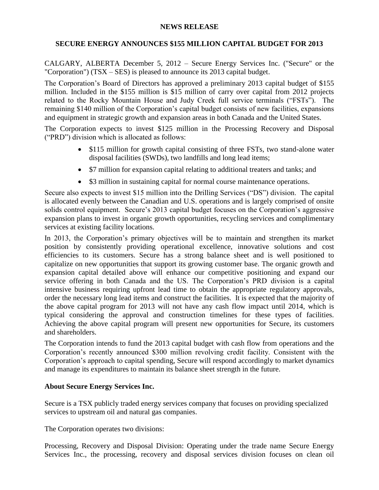### **NEWS RELEASE**

# **SECURE ENERGY ANNOUNCES \$155 MILLION CAPITAL BUDGET FOR 2013**

CALGARY, ALBERTA December 5, 2012 – Secure Energy Services Inc. ("Secure" or the "Corporation") (TSX – SES) is pleased to announce its 2013 capital budget.

The Corporation's Board of Directors has approved a preliminary 2013 capital budget of \$155 million. Included in the \$155 million is \$15 million of carry over capital from 2012 projects related to the Rocky Mountain House and Judy Creek full service terminals ("FSTs"). The remaining \$140 million of the Corporation's capital budget consists of new facilities, expansions and equipment in strategic growth and expansion areas in both Canada and the United States.

The Corporation expects to invest \$125 million in the Processing Recovery and Disposal ("PRD") division which is allocated as follows:

- \$115 million for growth capital consisting of three FSTs, two stand-alone water disposal facilities (SWDs), two landfills and long lead items;
- \$7 million for expansion capital relating to additional treaters and tanks; and
- \$3 million in sustaining capital for normal course maintenance operations.

Secure also expects to invest \$15 million into the Drilling Services ("DS") division. The capital is allocated evenly between the Canadian and U.S. operations and is largely comprised of onsite solids control equipment. Secure's 2013 capital budget focuses on the Corporation's aggressive expansion plans to invest in organic growth opportunities, recycling services and complimentary services at existing facility locations.

In 2013, the Corporation's primary objectives will be to maintain and strengthen its market position by consistently providing operational excellence, innovative solutions and cost efficiencies to its customers. Secure has a strong balance sheet and is well positioned to capitalize on new opportunities that support its growing customer base. The organic growth and expansion capital detailed above will enhance our competitive positioning and expand our service offering in both Canada and the US. The Corporation's PRD division is a capital intensive business requiring upfront lead time to obtain the appropriate regulatory approvals, order the necessary long lead items and construct the facilities. It is expected that the majority of the above capital program for 2013 will not have any cash flow impact until 2014, which is typical considering the approval and construction timelines for these types of facilities. Achieving the above capital program will present new opportunities for Secure, its customers and shareholders.

The Corporation intends to fund the 2013 capital budget with cash flow from operations and the Corporation's recently announced \$300 million revolving credit facility. Consistent with the Corporation's approach to capital spending, Secure will respond accordingly to market dynamics and manage its expenditures to maintain its balance sheet strength in the future.

#### **About Secure Energy Services Inc.**

Secure is a TSX publicly traded energy services company that focuses on providing specialized services to upstream oil and natural gas companies.

The Corporation operates two divisions:

Processing, Recovery and Disposal Division: Operating under the trade name Secure Energy Services Inc., the processing, recovery and disposal services division focuses on clean oil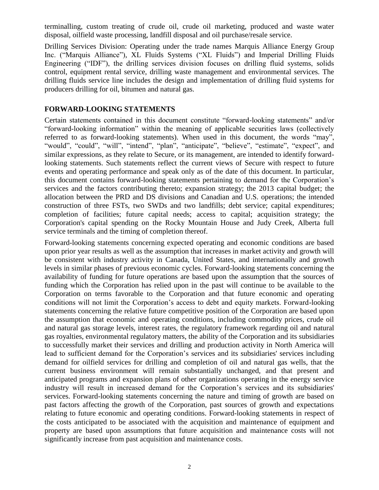terminalling, custom treating of crude oil, crude oil marketing, produced and waste water disposal, oilfield waste processing, landfill disposal and oil purchase/resale service.

Drilling Services Division: Operating under the trade names Marquis Alliance Energy Group Inc. ("Marquis Alliance"), XL Fluids Systems ("XL Fluids") and Imperial Drilling Fluids Engineering ("IDF"), the drilling services division focuses on drilling fluid systems, solids control, equipment rental service, drilling waste management and environmental services. The drilling fluids service line includes the design and implementation of drilling fluid systems for producers drilling for oil, bitumen and natural gas.

# **FORWARD-LOOKING STATEMENTS**

Certain statements contained in this document constitute "forward-looking statements" and/or "forward-looking information" within the meaning of applicable securities laws (collectively referred to as forward-looking statements). When used in this document, the words "may", "would", "could", "will", "intend", "plan", "anticipate", "believe", "estimate", "expect", and similar expressions, as they relate to Secure, or its management, are intended to identify forwardlooking statements. Such statements reflect the current views of Secure with respect to future events and operating performance and speak only as of the date of this document. In particular, this document contains forward-looking statements pertaining to demand for the Corporation's services and the factors contributing thereto; expansion strategy; the 2013 capital budget; the allocation between the PRD and DS divisions and Canadian and U.S. operations; the intended construction of three FSTs, two SWDs and two landfills; debt service; capital expenditures; completion of facilities; future capital needs; access to capital; acquisition strategy; the Corporation's capital spending on the Rocky Mountain House and Judy Creek, Alberta full service terminals and the timing of completion thereof.

Forward-looking statements concerning expected operating and economic conditions are based upon prior year results as well as the assumption that increases in market activity and growth will be consistent with industry activity in Canada, United States, and internationally and growth levels in similar phases of previous economic cycles. Forward-looking statements concerning the availability of funding for future operations are based upon the assumption that the sources of funding which the Corporation has relied upon in the past will continue to be available to the Corporation on terms favorable to the Corporation and that future economic and operating conditions will not limit the Corporation's access to debt and equity markets. Forward-looking statements concerning the relative future competitive position of the Corporation are based upon the assumption that economic and operating conditions, including commodity prices, crude oil and natural gas storage levels, interest rates, the regulatory framework regarding oil and natural gas royalties, environmental regulatory matters, the ability of the Corporation and its subsidiaries to successfully market their services and drilling and production activity in North America will lead to sufficient demand for the Corporation's services and its subsidiaries' services including demand for oilfield services for drilling and completion of oil and natural gas wells, that the current business environment will remain substantially unchanged, and that present and anticipated programs and expansion plans of other organizations operating in the energy service industry will result in increased demand for the Corporation's services and its subsidiaries' services. Forward-looking statements concerning the nature and timing of growth are based on past factors affecting the growth of the Corporation, past sources of growth and expectations relating to future economic and operating conditions. Forward-looking statements in respect of the costs anticipated to be associated with the acquisition and maintenance of equipment and property are based upon assumptions that future acquisition and maintenance costs will not significantly increase from past acquisition and maintenance costs.